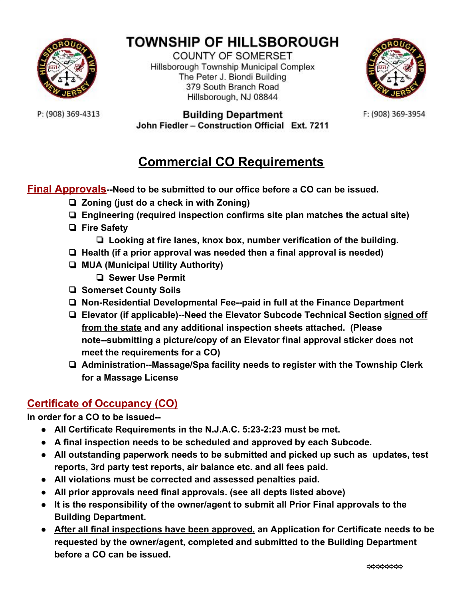

# **TOWNSHIP OF HILLSBOROUGH**

**COUNTY OF SOMERSET** Hillsborough Township Municipal Complex The Peter J. Biondi Building 379 South Branch Road Hillsborough, NJ 08844



F: (908) 369-3954

P: (908) 369-4313

#### **Building Department** John Fiedler - Construction Official Ext. 7211

## **Commercial CO Requirements**

**Final Approvals--Need to be submitted to our office before a CO can be issued.**

- ❏ **Zoning (just do a check in with Zoning)**
- ❏ **Engineering (required inspection confirms site plan matches the actual site)**
- ❏ **Fire Safety**
	- ❏ **Looking at fire lanes, knox box, number verification of the building.**
- ❏ **Health (if a prior approval was needed then a final approval is needed)**
- ❏ **MUA (Municipal Utility Authority)**
	- ❏ **Sewer Use Permit**
- ❏ **Somerset County Soils**
- ❏ **Non-Residential Developmental Fee--paid in full at the Finance Department**
- ❏ **Elevator (if applicable)--Need the Elevator Subcode Technical Section signed off from the state and any additional inspection sheets attached. (Please note--submitting a picture/copy of an Elevator final approval sticker does not meet the requirements for a CO)**
- ❏ **Administration--Massage/Spa facility needs to register with the Township Clerk for a Massage License**

#### **Certificate of Occupancy (CO)**

**In order for a CO to be issued--**

- **● All Certificate Requirements in the N.J.A.C. 5:23-2:23 must be met.**
- **● A final inspection needs to be scheduled and approved by each Subcode.**
- **● All outstanding paperwork needs to be submitted and picked up such as updates, test reports, 3rd party test reports, air balance etc. and all fees paid.**
- **● All violations must be corrected and assessed penalties paid.**
- **● All prior approvals need final approvals. (see all depts listed above)**
- **● It is the responsibility of the owner/agent to submit all Prior Final approvals to the Building Department.**
- **● After all final inspections have been approved, an Application for Certificate needs to be requested by the owner/agent, completed and submitted to the Building Department before a CO can be issued.**